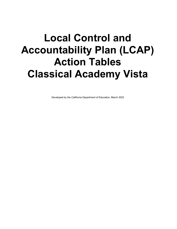## **Local Control and Accountability Plan (LCAP) Action Tables Classical Academy Vista**

Developed by the California Department of Education, March 2022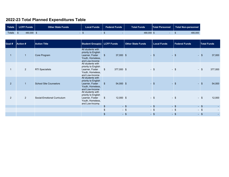## **2022-23 Total Planned Expenditures Table**

|               | Totals LCFF Funds | Other State Funds <b>\</b> | Local Funds | <b>Federal Funds</b> | <b>Total Funds</b> | <b>Total Personnel</b> | <b>Total Non-personnel</b> |  |
|---------------|-------------------|----------------------------|-------------|----------------------|--------------------|------------------------|----------------------------|--|
| <b>Totals</b> | 480,000 \$        |                            |             |                      | 480.000 \$         |                        | 480,000                    |  |

| Goal #         | <b>Action #</b> | <b>Action Title</b>           |                                                                                                   | Student Group(s)   LCFF Funds | <b>Other State Funds</b> | <b>Local Funds</b> | <b>Federal Funds</b> | <b>Total Funds</b> |  |
|----------------|-----------------|-------------------------------|---------------------------------------------------------------------------------------------------|-------------------------------|--------------------------|--------------------|----------------------|--------------------|--|
|                |                 | Core Program                  | All students with<br>priority to English<br>Learner, Foster<br>Youth, Homeless,<br>and Low-Income | $37,000$ \$<br>$\mathfrak{F}$ | $\sim$                   | $\mathbf{\$}$      | $-$ \$               | 37,000<br>- \$     |  |
|                | $\overline{2}$  | <b>RTI Specialists</b>        | All students with<br>priority to English<br>Learner, Foster<br>Youth, Homeless,<br>and Low-Income | 377,000 \$<br>$\mathfrak{F}$  |                          | $-$ \$             | $-$ \$               | $-$ \$<br>377,000  |  |
| $\overline{2}$ |                 | <b>School Site Counselors</b> | All students with<br>priority to English<br>Learner, Foster<br>Youth, Homeless,<br>and Low-Income | 54,000 \$<br>$\mathbb{S}$     |                          | $\mathbf{\hat{s}}$ | $\mathbf{s}$         | 54,000<br>- \$     |  |
| $2^{\circ}$    | 2               | Social-Emotional Curriculum   | All students with<br>priority to English<br>Learner, Foster<br>Youth, Homeless,<br>and Low-Income | $12,000$ \$<br>$\mathfrak{S}$ |                          | $-$ \$             | $-$ \$               | 12,000<br>$-$ \$   |  |
|                |                 |                               |                                                                                                   | $\,$                          | $-$ \$                   | $-$ \$             | $-$ \$               | $-$ \$             |  |
|                |                 |                               |                                                                                                   | $\mathfrak{L}$                | $-$ \$                   | $-$ \$             | $-$ \$               | $-$ \$             |  |
|                |                 |                               |                                                                                                   | $\boldsymbol{\hat{\theta}}$   | $-$ \$                   | $-$ \$             | $-$ \$               | $-$ \$             |  |